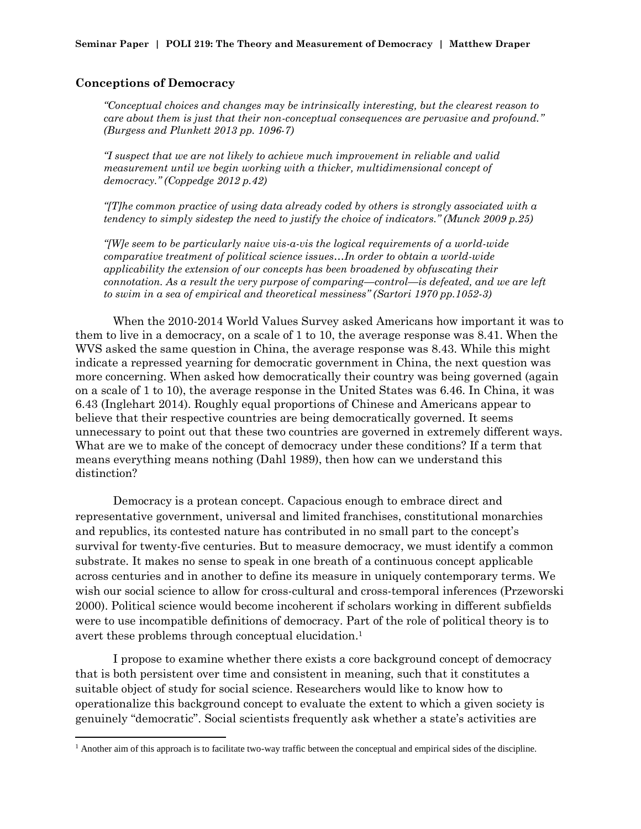### **Conceptions of Democracy**

 $\overline{a}$ 

*"Conceptual choices and changes may be intrinsically interesting, but the clearest reason to care about them is just that their non-conceptual consequences are pervasive and profound." (Burgess and Plunkett 2013 pp. 1096-7)*

*"I suspect that we are not likely to achieve much improvement in reliable and valid measurement until we begin working with a thicker, multidimensional concept of democracy." (Coppedge 2012 p.42)*

*"[T]he common practice of using data already coded by others is strongly associated with a tendency to simply sidestep the need to justify the choice of indicators." (Munck 2009 p.25)*

*"[W]e seem to be particularly naive vis-a-vis the logical requirements of a world-wide comparative treatment of political science issues…In order to obtain a world-wide applicability the extension of our concepts has been broadened by obfuscating their connotation. As a result the very purpose of comparing—control—is defeated, and we are left to swim in a sea of empirical and theoretical messiness" (Sartori 1970 pp.1052-3)*

When the 2010-2014 World Values Survey asked Americans how important it was to them to live in a democracy, on a scale of 1 to 10, the average response was 8.41. When the WVS asked the same question in China, the average response was 8.43. While this might indicate a repressed yearning for democratic government in China, the next question was more concerning. When asked how democratically their country was being governed (again on a scale of 1 to 10), the average response in the United States was 6.46. In China, it was 6.43 (Inglehart 2014). Roughly equal proportions of Chinese and Americans appear to believe that their respective countries are being democratically governed. It seems unnecessary to point out that these two countries are governed in extremely different ways. What are we to make of the concept of democracy under these conditions? If a term that means everything means nothing (Dahl 1989), then how can we understand this distinction?

Democracy is a protean concept. Capacious enough to embrace direct and representative government, universal and limited franchises, constitutional monarchies and republics, its contested nature has contributed in no small part to the concept's survival for twenty-five centuries. But to measure democracy, we must identify a common substrate. It makes no sense to speak in one breath of a continuous concept applicable across centuries and in another to define its measure in uniquely contemporary terms. We wish our social science to allow for cross-cultural and cross-temporal inferences (Przeworski 2000). Political science would become incoherent if scholars working in different subfields were to use incompatible definitions of democracy. Part of the role of political theory is to avert these problems through conceptual elucidation. 1

I propose to examine whether there exists a core background concept of democracy that is both persistent over time and consistent in meaning, such that it constitutes a suitable object of study for social science. Researchers would like to know how to operationalize this background concept to evaluate the extent to which a given society is genuinely "democratic". Social scientists frequently ask whether a state's activities are

<sup>&</sup>lt;sup>1</sup> Another aim of this approach is to facilitate two-way traffic between the conceptual and empirical sides of the discipline.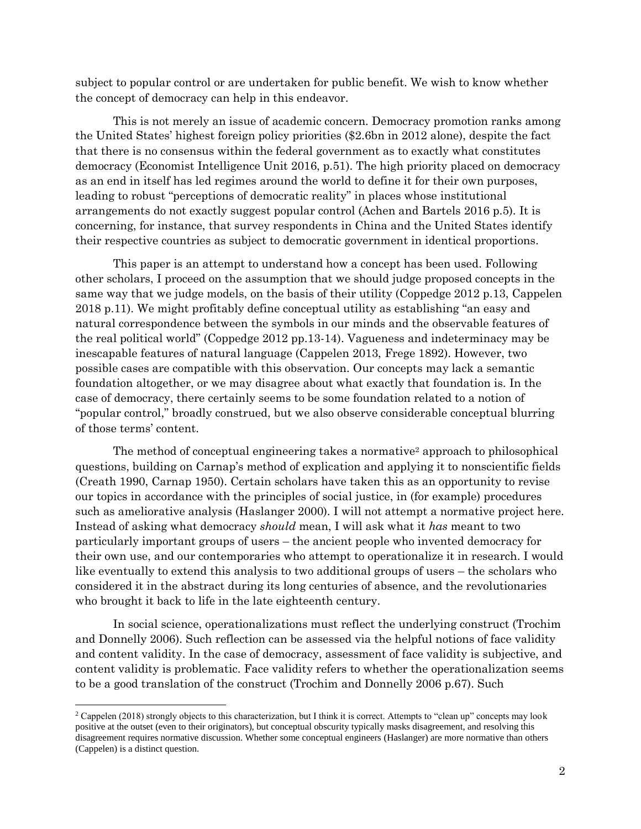subject to popular control or are undertaken for public benefit. We wish to know whether the concept of democracy can help in this endeavor.

This is not merely an issue of academic concern. Democracy promotion ranks among the United States' highest foreign policy priorities (\$2.6bn in 2012 alone), despite the fact that there is no consensus within the federal government as to exactly what constitutes democracy (Economist Intelligence Unit 2016, p.51). The high priority placed on democracy as an end in itself has led regimes around the world to define it for their own purposes, leading to robust "perceptions of democratic reality" in places whose institutional arrangements do not exactly suggest popular control (Achen and Bartels 2016 p.5). It is concerning, for instance, that survey respondents in China and the United States identify their respective countries as subject to democratic government in identical proportions.

This paper is an attempt to understand how a concept has been used. Following other scholars, I proceed on the assumption that we should judge proposed concepts in the same way that we judge models, on the basis of their utility (Coppedge 2012 p.13, Cappelen 2018 p.11). We might profitably define conceptual utility as establishing "an easy and natural correspondence between the symbols in our minds and the observable features of the real political world" (Coppedge 2012 pp.13-14). Vagueness and indeterminacy may be inescapable features of natural language (Cappelen 2013, Frege 1892). However, two possible cases are compatible with this observation. Our concepts may lack a semantic foundation altogether, or we may disagree about what exactly that foundation is. In the case of democracy, there certainly seems to be some foundation related to a notion of "popular control," broadly construed, but we also observe considerable conceptual blurring of those terms' content.

The method of conceptual engineering takes a normative<sup>2</sup> approach to philosophical questions, building on Carnap's method of explication and applying it to nonscientific fields (Creath 1990, Carnap 1950). Certain scholars have taken this as an opportunity to revise our topics in accordance with the principles of social justice, in (for example) procedures such as ameliorative analysis (Haslanger 2000). I will not attempt a normative project here. Instead of asking what democracy *should* mean, I will ask what it *has* meant to two particularly important groups of users – the ancient people who invented democracy for their own use, and our contemporaries who attempt to operationalize it in research. I would like eventually to extend this analysis to two additional groups of users – the scholars who considered it in the abstract during its long centuries of absence, and the revolutionaries who brought it back to life in the late eighteenth century.

In social science, operationalizations must reflect the underlying construct (Trochim and Donnelly 2006). Such reflection can be assessed via the helpful notions of face validity and content validity. In the case of democracy, assessment of face validity is subjective, and content validity is problematic. Face validity refers to whether the operationalization seems to be a good translation of the construct (Trochim and Donnelly 2006 p.67). Such

<sup>&</sup>lt;sup>2</sup> Cappelen (2018) strongly objects to this characterization, but I think it is correct. Attempts to "clean up" concepts may look positive at the outset (even to their originators), but conceptual obscurity typically masks disagreement, and resolving this disagreement requires normative discussion. Whether some conceptual engineers (Haslanger) are more normative than others (Cappelen) is a distinct question.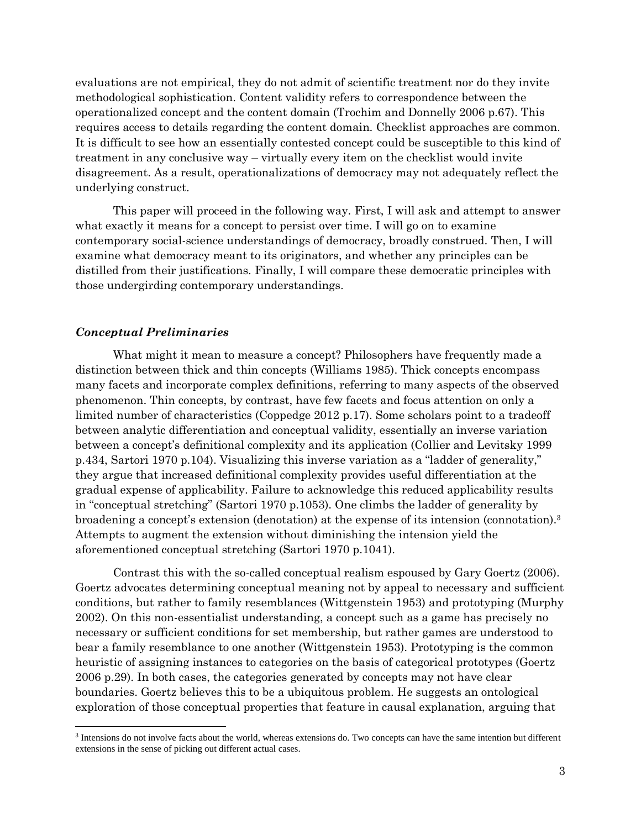evaluations are not empirical, they do not admit of scientific treatment nor do they invite methodological sophistication. Content validity refers to correspondence between the operationalized concept and the content domain (Trochim and Donnelly 2006 p.67). This requires access to details regarding the content domain. Checklist approaches are common. It is difficult to see how an essentially contested concept could be susceptible to this kind of treatment in any conclusive way – virtually every item on the checklist would invite disagreement. As a result, operationalizations of democracy may not adequately reflect the underlying construct.

This paper will proceed in the following way. First, I will ask and attempt to answer what exactly it means for a concept to persist over time. I will go on to examine contemporary social-science understandings of democracy, broadly construed. Then, I will examine what democracy meant to its originators, and whether any principles can be distilled from their justifications. Finally, I will compare these democratic principles with those undergirding contemporary understandings.

## *Conceptual Preliminaries*

 $\overline{\phantom{a}}$ 

What might it mean to measure a concept? Philosophers have frequently made a distinction between thick and thin concepts (Williams 1985). Thick concepts encompass many facets and incorporate complex definitions, referring to many aspects of the observed phenomenon. Thin concepts, by contrast, have few facets and focus attention on only a limited number of characteristics (Coppedge 2012 p.17). Some scholars point to a tradeoff between analytic differentiation and conceptual validity, essentially an inverse variation between a concept's definitional complexity and its application (Collier and Levitsky 1999 p.434, Sartori 1970 p.104). Visualizing this inverse variation as a "ladder of generality," they argue that increased definitional complexity provides useful differentiation at the gradual expense of applicability. Failure to acknowledge this reduced applicability results in "conceptual stretching" (Sartori 1970 p.1053). One climbs the ladder of generality by broadening a concept's extension (denotation) at the expense of its intension (connotation).<sup>3</sup> Attempts to augment the extension without diminishing the intension yield the aforementioned conceptual stretching (Sartori 1970 p.1041).

Contrast this with the so-called conceptual realism espoused by Gary Goertz (2006). Goertz advocates determining conceptual meaning not by appeal to necessary and sufficient conditions, but rather to family resemblances (Wittgenstein 1953) and prototyping (Murphy 2002). On this non-essentialist understanding, a concept such as a game has precisely no necessary or sufficient conditions for set membership, but rather games are understood to bear a family resemblance to one another (Wittgenstein 1953). Prototyping is the common heuristic of assigning instances to categories on the basis of categorical prototypes (Goertz 2006 p.29). In both cases, the categories generated by concepts may not have clear boundaries. Goertz believes this to be a ubiquitous problem. He suggests an ontological exploration of those conceptual properties that feature in causal explanation, arguing that

<sup>&</sup>lt;sup>3</sup> Intensions do not involve facts about the world, whereas extensions do. Two concepts can have the same intention but different extensions in the sense of picking out different actual cases.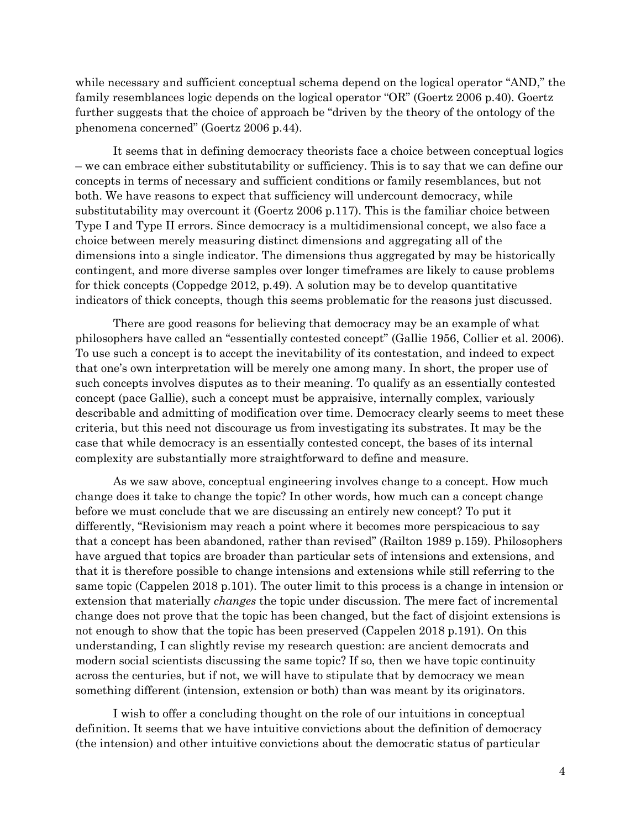while necessary and sufficient conceptual schema depend on the logical operator "AND," the family resemblances logic depends on the logical operator "OR" (Goertz 2006 p.40). Goertz further suggests that the choice of approach be "driven by the theory of the ontology of the phenomena concerned" (Goertz 2006 p.44).

It seems that in defining democracy theorists face a choice between conceptual logics – we can embrace either substitutability or sufficiency. This is to say that we can define our concepts in terms of necessary and sufficient conditions or family resemblances, but not both. We have reasons to expect that sufficiency will undercount democracy, while substitutability may overcount it (Goertz 2006 p.117). This is the familiar choice between Type I and Type II errors. Since democracy is a multidimensional concept, we also face a choice between merely measuring distinct dimensions and aggregating all of the dimensions into a single indicator. The dimensions thus aggregated by may be historically contingent, and more diverse samples over longer timeframes are likely to cause problems for thick concepts (Coppedge 2012, p.49). A solution may be to develop quantitative indicators of thick concepts, though this seems problematic for the reasons just discussed.

There are good reasons for believing that democracy may be an example of what philosophers have called an "essentially contested concept" (Gallie 1956, Collier et al. 2006). To use such a concept is to accept the inevitability of its contestation, and indeed to expect that one's own interpretation will be merely one among many. In short, the proper use of such concepts involves disputes as to their meaning. To qualify as an essentially contested concept (pace Gallie), such a concept must be appraisive, internally complex, variously describable and admitting of modification over time. Democracy clearly seems to meet these criteria, but this need not discourage us from investigating its substrates. It may be the case that while democracy is an essentially contested concept, the bases of its internal complexity are substantially more straightforward to define and measure.

As we saw above, conceptual engineering involves change to a concept. How much change does it take to change the topic? In other words, how much can a concept change before we must conclude that we are discussing an entirely new concept? To put it differently, "Revisionism may reach a point where it becomes more perspicacious to say that a concept has been abandoned, rather than revised" (Railton 1989 p.159). Philosophers have argued that topics are broader than particular sets of intensions and extensions, and that it is therefore possible to change intensions and extensions while still referring to the same topic (Cappelen 2018 p.101). The outer limit to this process is a change in intension or extension that materially *changes* the topic under discussion. The mere fact of incremental change does not prove that the topic has been changed, but the fact of disjoint extensions is not enough to show that the topic has been preserved (Cappelen 2018 p.191). On this understanding, I can slightly revise my research question: are ancient democrats and modern social scientists discussing the same topic? If so, then we have topic continuity across the centuries, but if not, we will have to stipulate that by democracy we mean something different (intension, extension or both) than was meant by its originators.

I wish to offer a concluding thought on the role of our intuitions in conceptual definition. It seems that we have intuitive convictions about the definition of democracy (the intension) and other intuitive convictions about the democratic status of particular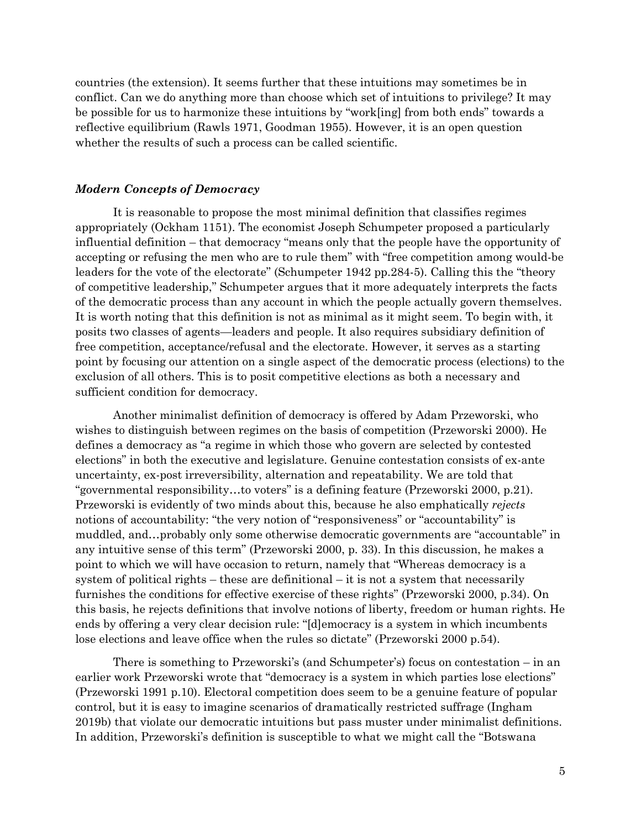countries (the extension). It seems further that these intuitions may sometimes be in conflict. Can we do anything more than choose which set of intuitions to privilege? It may be possible for us to harmonize these intuitions by "work[ing] from both ends" towards a reflective equilibrium (Rawls 1971, Goodman 1955). However, it is an open question whether the results of such a process can be called scientific.

#### *Modern Concepts of Democracy*

It is reasonable to propose the most minimal definition that classifies regimes appropriately (Ockham 1151). The economist Joseph Schumpeter proposed a particularly influential definition – that democracy "means only that the people have the opportunity of accepting or refusing the men who are to rule them" with "free competition among would-be leaders for the vote of the electorate" (Schumpeter 1942 pp.284-5). Calling this the "theory of competitive leadership," Schumpeter argues that it more adequately interprets the facts of the democratic process than any account in which the people actually govern themselves. It is worth noting that this definition is not as minimal as it might seem. To begin with, it posits two classes of agents—leaders and people. It also requires subsidiary definition of free competition, acceptance/refusal and the electorate. However, it serves as a starting point by focusing our attention on a single aspect of the democratic process (elections) to the exclusion of all others. This is to posit competitive elections as both a necessary and sufficient condition for democracy.

Another minimalist definition of democracy is offered by Adam Przeworski, who wishes to distinguish between regimes on the basis of competition (Przeworski 2000). He defines a democracy as "a regime in which those who govern are selected by contested elections" in both the executive and legislature. Genuine contestation consists of ex-ante uncertainty, ex-post irreversibility, alternation and repeatability. We are told that "governmental responsibility…to voters" is a defining feature (Przeworski 2000, p.21). Przeworski is evidently of two minds about this, because he also emphatically *rejects* notions of accountability: "the very notion of "responsiveness" or "accountability" is muddled, and…probably only some otherwise democratic governments are "accountable" in any intuitive sense of this term" (Przeworski 2000, p. 33). In this discussion, he makes a point to which we will have occasion to return, namely that "Whereas democracy is a system of political rights – these are definitional – it is not a system that necessarily furnishes the conditions for effective exercise of these rights" (Przeworski 2000, p.34). On this basis, he rejects definitions that involve notions of liberty, freedom or human rights. He ends by offering a very clear decision rule: "[d]emocracy is a system in which incumbents lose elections and leave office when the rules so dictate" (Przeworski 2000 p.54).

There is something to Przeworski's (and Schumpeter's) focus on contestation – in an earlier work Przeworski wrote that "democracy is a system in which parties lose elections" (Przeworski 1991 p.10). Electoral competition does seem to be a genuine feature of popular control, but it is easy to imagine scenarios of dramatically restricted suffrage (Ingham 2019b) that violate our democratic intuitions but pass muster under minimalist definitions. In addition, Przeworski's definition is susceptible to what we might call the "Botswana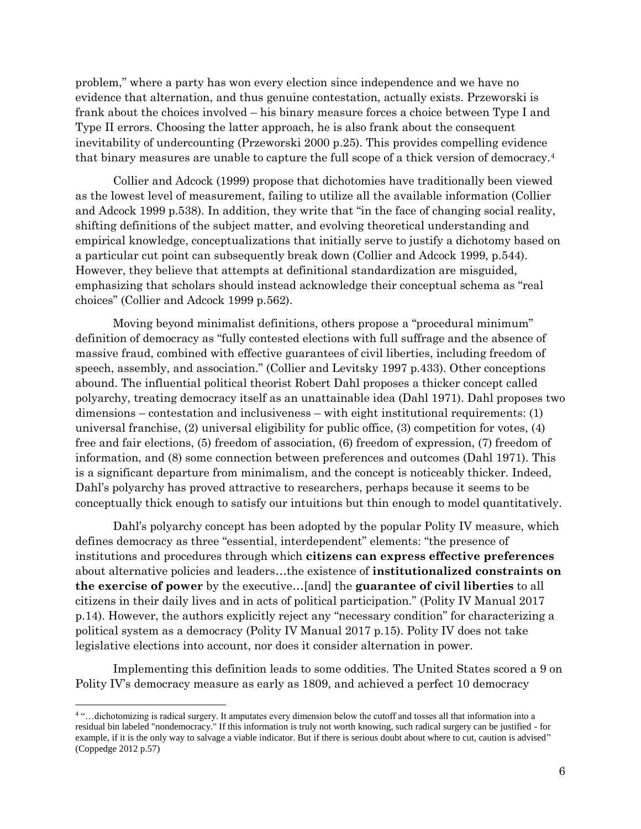problem," where a party has won every election since independence and we have no evidence that alternation, and thus genuine contestation, actually exists. Przeworski is frank about the choices involved – his binary measure forces a choice between Type I and Type II errors. Choosing the latter approach, he is also frank about the consequent inevitability of undercounting (Przeworski 2000 p.25). This provides compelling evidence that binary measures are unable to capture the full scope of a thick version of democracy.<sup>4</sup>

Collier and Adcock (1999) propose that dichotomies have traditionally been viewed as the lowest level of measurement, failing to utilize all the available information (Collier and Adcock 1999 p.538). In addition, they write that "in the face of changing social reality, shifting definitions of the subject matter, and evolving theoretical understanding and empirical knowledge, conceptualizations that initially serve to justify a dichotomy based on a particular cut point can subsequently break down (Collier and Adcock 1999, p.544). However, they believe that attempts at definitional standardization are misguided, emphasizing that scholars should instead acknowledge their conceptual schema as "real choices" (Collier and Adcock 1999 p.562).

Moving beyond minimalist definitions, others propose a "procedural minimum" definition of democracy as "fully contested elections with full suffrage and the absence of massive fraud, combined with effective guarantees of civil liberties, including freedom of speech, assembly, and association." (Collier and Levitsky 1997 p.433). Other conceptions abound. The influential political theorist Robert Dahl proposes a thicker concept called polyarchy, treating democracy itself as an unattainable idea (Dahl 1971). Dahl proposes two dimensions – contestation and inclusiveness – with eight institutional requirements: (1) universal franchise, (2) universal eligibility for public office, (3) competition for votes, (4) free and fair elections, (5) freedom of association, (6) freedom of expression, (7) freedom of information, and (8) some connection between preferences and outcomes (Dahl 1971). This is a significant departure from minimalism, and the concept is noticeably thicker. Indeed, Dahl's polyarchy has proved attractive to researchers, perhaps because it seems to be conceptually thick enough to satisfy our intuitions but thin enough to model quantitatively.

Dahl's polyarchy concept has been adopted by the popular Polity IV measure, which defines democracy as three "essential, interdependent" elements: "the presence of institutions and procedures through which **citizens can express effective preferences** about alternative policies and leaders…the existence of **institutionalized constraints on the exercise of power** by the executive…[and] the **guarantee of civil liberties** to all citizens in their daily lives and in acts of political participation." (Polity IV Manual 2017 p.14). However, the authors explicitly reject any "necessary condition" for characterizing a political system as a democracy (Polity IV Manual 2017 p.15). Polity IV does not take legislative elections into account, nor does it consider alternation in power.

Implementing this definition leads to some oddities. The United States scored a 9 on Polity IV's democracy measure as early as 1809, and achieved a perfect 10 democracy

<sup>4</sup> "…dichotomizing is radical surgery. It amputates every dimension below the cutoff and tosses all that information into a residual bin labeled "nondemocracy." If this information is truly not worth knowing, such radical surgery can be justified - for example, if it is the only way to salvage a viable indicator. But if there is serious doubt about where to cut, caution is advised" (Coppedge 2012 p.57)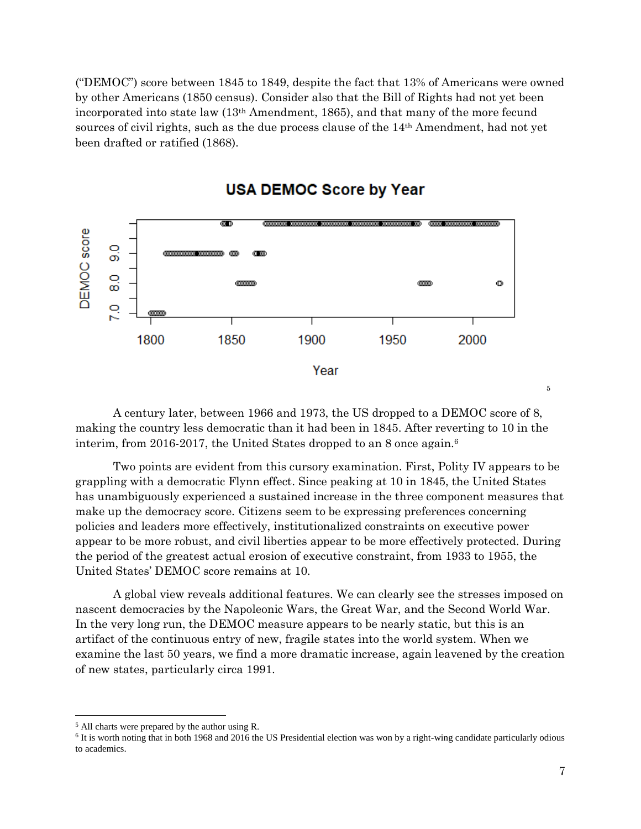("DEMOC") score between 1845 to 1849, despite the fact that 13% of Americans were owned by other Americans (1850 census). Consider also that the Bill of Rights had not yet been incorporated into state law (13th Amendment, 1865), and that many of the more fecund sources of civil rights, such as the due process clause of the 14th Amendment, had not yet been drafted or ratified (1868).



# **USA DEMOC Score by Year**

A century later, between 1966 and 1973, the US dropped to a DEMOC score of 8, making the country less democratic than it had been in 1845. After reverting to 10 in the interim, from 2016-2017, the United States dropped to an 8 once again.<sup>6</sup>

Two points are evident from this cursory examination. First, Polity IV appears to be grappling with a democratic Flynn effect. Since peaking at 10 in 1845, the United States has unambiguously experienced a sustained increase in the three component measures that make up the democracy score. Citizens seem to be expressing preferences concerning policies and leaders more effectively, institutionalized constraints on executive power appear to be more robust, and civil liberties appear to be more effectively protected. During the period of the greatest actual erosion of executive constraint, from 1933 to 1955, the United States' DEMOC score remains at 10.

A global view reveals additional features. We can clearly see the stresses imposed on nascent democracies by the Napoleonic Wars, the Great War, and the Second World War. In the very long run, the DEMOC measure appears to be nearly static, but this is an artifact of the continuous entry of new, fragile states into the world system. When we examine the last 50 years, we find a more dramatic increase, again leavened by the creation of new states, particularly circa 1991.

 $\overline{\phantom{a}}$ 

5

<sup>5</sup> All charts were prepared by the author using R.

<sup>&</sup>lt;sup>6</sup> It is worth noting that in both 1968 and 2016 the US Presidential election was won by a right-wing candidate particularly odious to academics.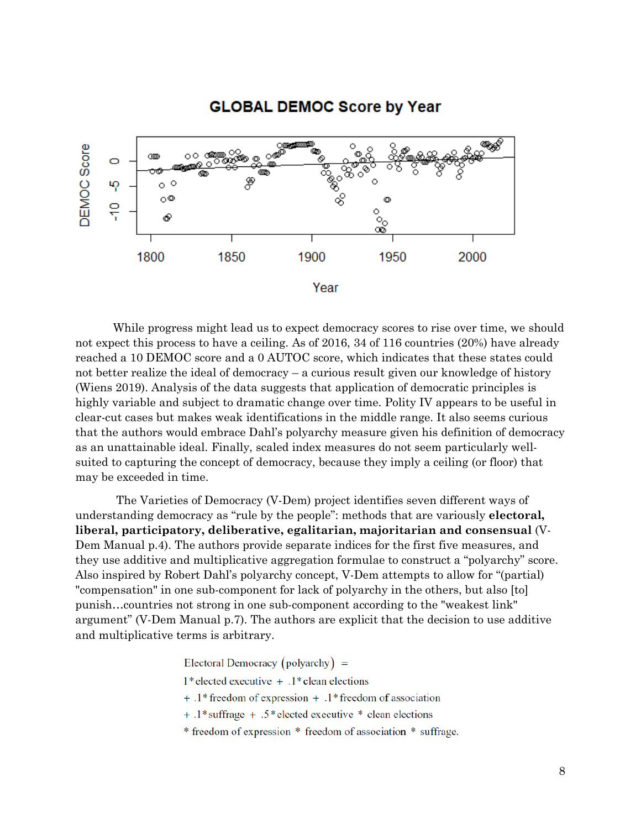# **GLOBAL DEMOC Score by Year**



While progress might lead us to expect democracy scores to rise over time, we should not expect this process to have a ceiling. As of 2016, 34 of 116 countries (20%) have already reached a 10 DEMOC score and a 0 AUTOC score, which indicates that these states could not better realize the ideal of democracy – a curious result given our knowledge of history (Wiens 2019). Analysis of the data suggests that application of democratic principles is highly variable and subject to dramatic change over time. Polity IV appears to be useful in clear-cut cases but makes weak identifications in the middle range. It also seems curious that the authors would embrace Dahl's polyarchy measure given his definition of democracy as an unattainable ideal. Finally, scaled index measures do not seem particularly wellsuited to capturing the concept of democracy, because they imply a ceiling (or floor) that may be exceeded in time.

The Varieties of Democracy (V-Dem) project identifies seven different ways of understanding democracy as "rule by the people": methods that are variously **electoral, liberal, participatory, deliberative, egalitarian, majoritarian and consensual** (V-Dem Manual p.4). The authors provide separate indices for the first five measures, and they use additive and multiplicative aggregation formulae to construct a "polyarchy" score. Also inspired by Robert Dahl's polyarchy concept, V-Dem attempts to allow for "(partial) "compensation" in one sub-component for lack of polyarchy in the others, but also [to] punish…countries not strong in one sub-component according to the "weakest link" argument" (V-Dem Manual p.7). The authors are explicit that the decision to use additive and multiplicative terms is arbitrary.

Electoral Democracy (polyarchy)  $=$ 

 $1*$  elected executive +  $.1*$  clean elections

 $+$ .1\* freedom of expression  $+$ .1\* freedom of association

+ .1\*suffrage + .5\*elected executive \* clean elections

\* freedom of expression \* freedom of association \* suffrage.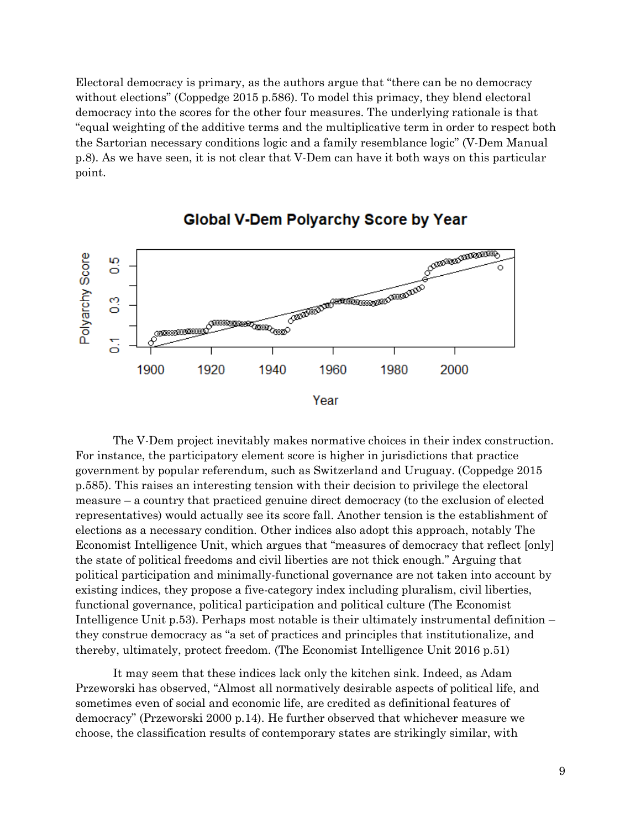Electoral democracy is primary, as the authors argue that "there can be no democracy without elections" (Coppedge 2015 p.586). To model this primacy, they blend electoral democracy into the scores for the other four measures. The underlying rationale is that "equal weighting of the additive terms and the multiplicative term in order to respect both the Sartorian necessary conditions logic and a family resemblance logic" (V-Dem Manual p.8). As we have seen, it is not clear that V-Dem can have it both ways on this particular point.



## **Global V-Dem Polyarchy Score by Year**

The V-Dem project inevitably makes normative choices in their index construction. For instance, the participatory element score is higher in jurisdictions that practice government by popular referendum, such as Switzerland and Uruguay. (Coppedge 2015 p.585). This raises an interesting tension with their decision to privilege the electoral measure – a country that practiced genuine direct democracy (to the exclusion of elected representatives) would actually see its score fall. Another tension is the establishment of elections as a necessary condition. Other indices also adopt this approach, notably The Economist Intelligence Unit, which argues that "measures of democracy that reflect [only] the state of political freedoms and civil liberties are not thick enough." Arguing that political participation and minimally-functional governance are not taken into account by existing indices, they propose a five-category index including pluralism, civil liberties, functional governance, political participation and political culture (The Economist Intelligence Unit p.53). Perhaps most notable is their ultimately instrumental definition – they construe democracy as "a set of practices and principles that institutionalize, and thereby, ultimately, protect freedom. (The Economist Intelligence Unit 2016 p.51)

It may seem that these indices lack only the kitchen sink. Indeed, as Adam Przeworski has observed, "Almost all normatively desirable aspects of political life, and sometimes even of social and economic life, are credited as definitional features of democracy" (Przeworski 2000 p.14). He further observed that whichever measure we choose, the classification results of contemporary states are strikingly similar, with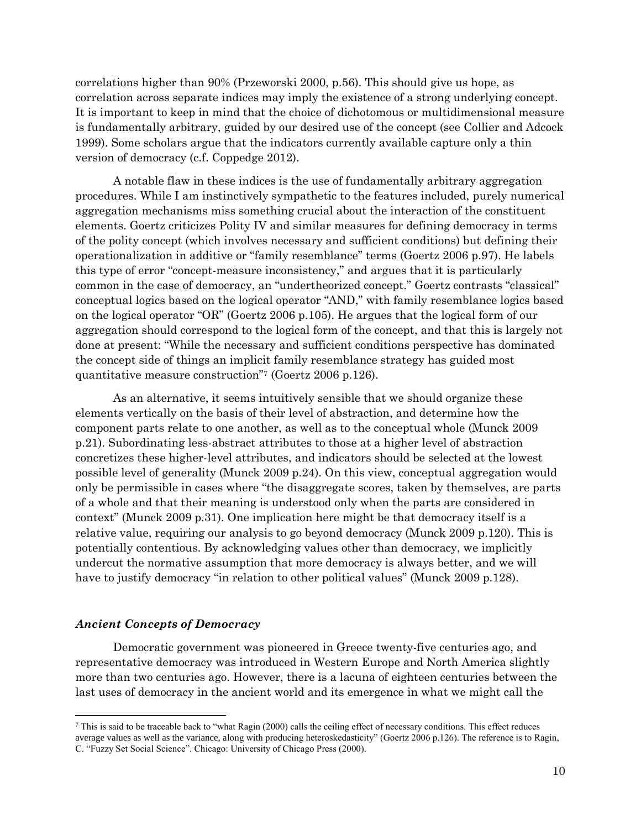correlations higher than 90% (Przeworski 2000, p.56). This should give us hope, as correlation across separate indices may imply the existence of a strong underlying concept. It is important to keep in mind that the choice of dichotomous or multidimensional measure is fundamentally arbitrary, guided by our desired use of the concept (see Collier and Adcock 1999). Some scholars argue that the indicators currently available capture only a thin version of democracy (c.f. Coppedge 2012).

A notable flaw in these indices is the use of fundamentally arbitrary aggregation procedures. While I am instinctively sympathetic to the features included, purely numerical aggregation mechanisms miss something crucial about the interaction of the constituent elements. Goertz criticizes Polity IV and similar measures for defining democracy in terms of the polity concept (which involves necessary and sufficient conditions) but defining their operationalization in additive or "family resemblance" terms (Goertz 2006 p.97). He labels this type of error "concept-measure inconsistency," and argues that it is particularly common in the case of democracy, an "undertheorized concept." Goertz contrasts "classical" conceptual logics based on the logical operator "AND," with family resemblance logics based on the logical operator "OR" (Goertz 2006 p.105). He argues that the logical form of our aggregation should correspond to the logical form of the concept, and that this is largely not done at present: "While the necessary and sufficient conditions perspective has dominated the concept side of things an implicit family resemblance strategy has guided most quantitative measure construction"<sup>7</sup> (Goertz 2006 p.126).

As an alternative, it seems intuitively sensible that we should organize these elements vertically on the basis of their level of abstraction, and determine how the component parts relate to one another, as well as to the conceptual whole (Munck 2009 p.21). Subordinating less-abstract attributes to those at a higher level of abstraction concretizes these higher-level attributes, and indicators should be selected at the lowest possible level of generality (Munck 2009 p.24). On this view, conceptual aggregation would only be permissible in cases where "the disaggregate scores, taken by themselves, are parts of a whole and that their meaning is understood only when the parts are considered in context" (Munck 2009 p.31). One implication here might be that democracy itself is a relative value, requiring our analysis to go beyond democracy (Munck 2009 p.120). This is potentially contentious. By acknowledging values other than democracy, we implicitly undercut the normative assumption that more democracy is always better, and we will have to justify democracy "in relation to other political values" (Munck 2009 p.128).

#### *Ancient Concepts of Democracy*

 $\overline{\phantom{a}}$ 

Democratic government was pioneered in Greece twenty-five centuries ago, and representative democracy was introduced in Western Europe and North America slightly more than two centuries ago. However, there is a lacuna of eighteen centuries between the last uses of democracy in the ancient world and its emergence in what we might call the

 $^7$  This is said to be traceable back to "what Ragin (2000) calls the ceiling effect of necessary conditions. This effect reduces average values as well as the variance, along with producing heteroskedasticity" (Goertz 2006 p.126). The reference is to Ragin, C. "Fuzzy Set Social Science". Chicago: University of Chicago Press (2000).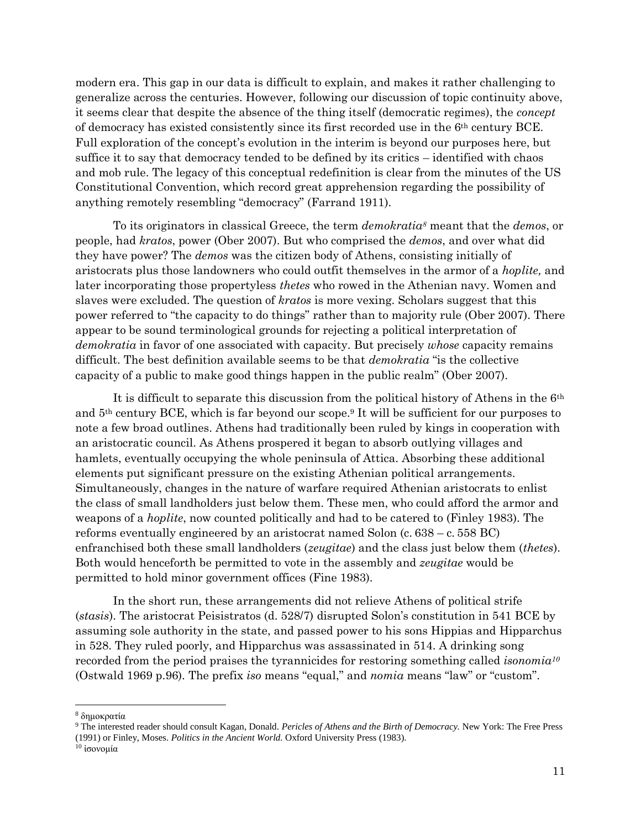modern era. This gap in our data is difficult to explain, and makes it rather challenging to generalize across the centuries. However, following our discussion of topic continuity above, it seems clear that despite the absence of the thing itself (democratic regimes), the *concept* of democracy has existed consistently since its first recorded use in the 6th century BCE. Full exploration of the concept's evolution in the interim is beyond our purposes here, but suffice it to say that democracy tended to be defined by its critics – identified with chaos and mob rule. The legacy of this conceptual redefinition is clear from the minutes of the US Constitutional Convention, which record great apprehension regarding the possibility of anything remotely resembling "democracy" (Farrand 1911).

To its originators in classical Greece, the term *demokratia<sup>8</sup>* meant that the *demos*, or people, had *kratos*, power (Ober 2007). But who comprised the *demos*, and over what did they have power? The *demos* was the citizen body of Athens, consisting initially of aristocrats plus those landowners who could outfit themselves in the armor of a *hoplite,* and later incorporating those propertyless *thetes* who rowed in the Athenian navy. Women and slaves were excluded. The question of *kratos* is more vexing. Scholars suggest that this power referred to "the capacity to do things" rather than to majority rule (Ober 2007). There appear to be sound terminological grounds for rejecting a political interpretation of *demokratia* in favor of one associated with capacity. But precisely *whose* capacity remains difficult. The best definition available seems to be that *demokratia* "is the collective capacity of a public to make good things happen in the public realm" (Ober 2007).

It is difficult to separate this discussion from the political history of Athens in the  $6<sup>th</sup>$ and  $5<sup>th</sup>$  century BCE, which is far beyond our scope.<sup>9</sup> It will be sufficient for our purposes to note a few broad outlines. Athens had traditionally been ruled by kings in cooperation with an aristocratic council. As Athens prospered it began to absorb outlying villages and hamlets, eventually occupying the whole peninsula of Attica. Absorbing these additional elements put significant pressure on the existing Athenian political arrangements. Simultaneously, changes in the nature of warfare required Athenian aristocrats to enlist the class of small landholders just below them. These men, who could afford the armor and weapons of a *hoplite*, now counted politically and had to be catered to (Finley 1983). The reforms eventually engineered by an aristocrat named Solon (c. 638 – c. 558 BC) enfranchised both these small landholders (*zeugitae*) and the class just below them (*thetes*). Both would henceforth be permitted to vote in the assembly and *zeugitae* would be permitted to hold minor government offices (Fine 1983).

In the short run, these arrangements did not relieve Athens of political strife (*stasis*). The aristocrat Peisistratos (d. 528/7) disrupted Solon's constitution in 541 BCE by assuming sole authority in the state, and passed power to his sons Hippias and Hipparchus in 528. They ruled poorly, and Hipparchus was assassinated in 514. A drinking song recorded from the period praises the tyrannicides for restoring something called *isonomia<sup>10</sup>* (Ostwald 1969 p.96)*.* The prefix *iso* means "equal," and *nomia* means "law" or "custom".

<sup>8</sup> δημοκρατία

<sup>9</sup> The interested reader should consult Kagan, Donald. *Pericles of Athens and the Birth of Democracy.* New York: The Free Press (1991) or Finley, Moses. *Politics in the Ancient World.* Oxford University Press (1983).

<sup>&</sup>lt;sup>10</sup> ισονομία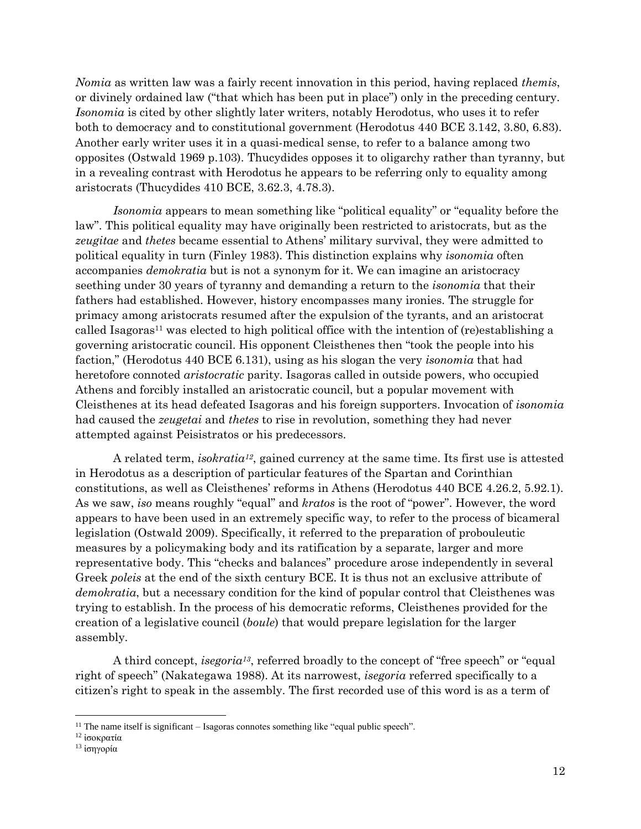*Nomia* as written law was a fairly recent innovation in this period, having replaced *themis*, or divinely ordained law ("that which has been put in place") only in the preceding century. *Isonomia* is cited by other slightly later writers, notably Herodotus, who uses it to refer both to democracy and to constitutional government (Herodotus 440 BCE 3.142, 3.80, 6.83). Another early writer uses it in a quasi-medical sense, to refer to a balance among two opposites (Ostwald 1969 p.103). Thucydides opposes it to oligarchy rather than tyranny, but in a revealing contrast with Herodotus he appears to be referring only to equality among aristocrats (Thucydides 410 BCE, 3.62.3, 4.78.3).

*Isonomia* appears to mean something like "political equality" or "equality before the law". This political equality may have originally been restricted to aristocrats, but as the *zeugitae* and *thetes* became essential to Athens' military survival, they were admitted to political equality in turn (Finley 1983). This distinction explains why *isonomia* often accompanies *demokratia* but is not a synonym for it. We can imagine an aristocracy seething under 30 years of tyranny and demanding a return to the *isonomia* that their fathers had established. However, history encompasses many ironies. The struggle for primacy among aristocrats resumed after the expulsion of the tyrants, and an aristocrat called Isagoras<sup>11</sup> was elected to high political office with the intention of (re)establishing a governing aristocratic council. His opponent Cleisthenes then "took the people into his faction," (Herodotus 440 BCE 6.131), using as his slogan the very *isonomia* that had heretofore connoted *aristocratic* parity. Isagoras called in outside powers, who occupied Athens and forcibly installed an aristocratic council, but a popular movement with Cleisthenes at its head defeated Isagoras and his foreign supporters. Invocation of *isonomia*  had caused the *zeugetai* and *thetes* to rise in revolution, something they had never attempted against Peisistratos or his predecessors.

A related term, *isokratia12*, gained currency at the same time. Its first use is attested in Herodotus as a description of particular features of the Spartan and Corinthian constitutions, as well as Cleisthenes' reforms in Athens (Herodotus 440 BCE 4.26.2, 5.92.1). As we saw, *iso* means roughly "equal" and *kratos* is the root of "power". However, the word appears to have been used in an extremely specific way, to refer to the process of bicameral legislation (Ostwald 2009). Specifically, it referred to the preparation of probouleutic measures by a policymaking body and its ratification by a separate, larger and more representative body. This "checks and balances" procedure arose independently in several Greek *poleis* at the end of the sixth century BCE. It is thus not an exclusive attribute of *demokratia*, but a necessary condition for the kind of popular control that Cleisthenes was trying to establish. In the process of his democratic reforms, Cleisthenes provided for the creation of a legislative council (*boule*) that would prepare legislation for the larger assembly.

A third concept, *isegoria13*, referred broadly to the concept of "free speech" or "equal right of speech" (Nakategawa 1988). At its narrowest, *isegoria* referred specifically to a citizen's right to speak in the assembly. The first recorded use of this word is as a term of

 $\overline{\phantom{a}}$ 

<sup>&</sup>lt;sup>11</sup> The name itself is significant  $-$  Isagoras connotes something like "equal public speech".

<sup>12</sup> ἰσοκρατία

<sup>13</sup> ἰσηγορία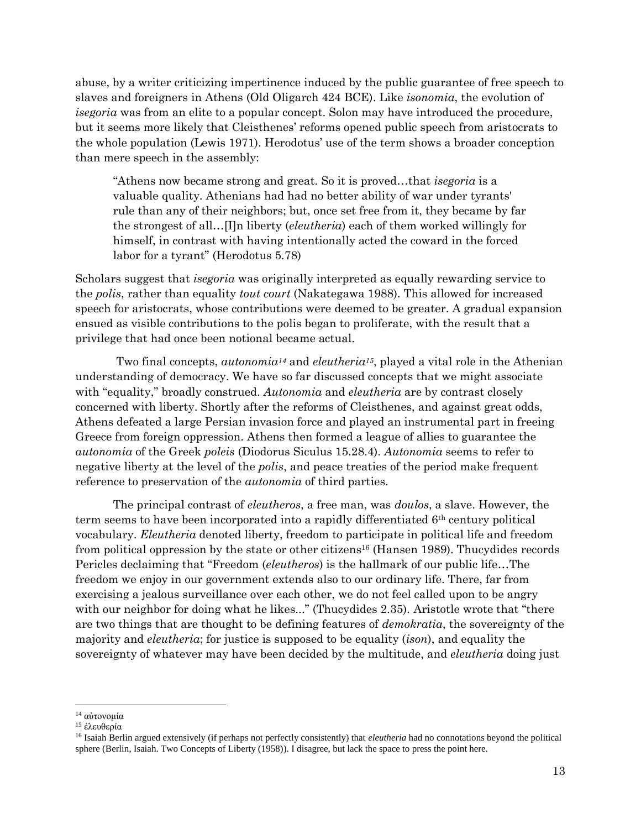abuse, by a writer criticizing impertinence induced by the public guarantee of free speech to slaves and foreigners in Athens (Old Oligarch 424 BCE). Like *isonomia*, the evolution of *isegoria* was from an elite to a popular concept. Solon may have introduced the procedure, but it seems more likely that Cleisthenes' reforms opened public speech from aristocrats to the whole population (Lewis 1971). Herodotus' use of the term shows a broader conception than mere speech in the assembly:

"Athens now became strong and great. So it is proved…that *isegoria* is a valuable quality. Athenians had had no better ability of war under tyrants' rule than any of their neighbors; but, once set free from it, they became by far the strongest of all…[I]n liberty (*eleutheria*) each of them worked willingly for himself, in contrast with having intentionally acted the coward in the forced labor for a tyrant" (Herodotus 5.78)

Scholars suggest that *isegoria* was originally interpreted as equally rewarding service to the *polis*, rather than equality *tout court* (Nakategawa 1988). This allowed for increased speech for aristocrats, whose contributions were deemed to be greater. A gradual expansion ensued as visible contributions to the polis began to proliferate, with the result that a privilege that had once been notional became actual.

Two final concepts, *autonomia<sup>14</sup>* and *eleutheria15*, played a vital role in the Athenian understanding of democracy. We have so far discussed concepts that we might associate with "equality," broadly construed. *Autonomia* and *eleutheria* are by contrast closely concerned with liberty. Shortly after the reforms of Cleisthenes, and against great odds, Athens defeated a large Persian invasion force and played an instrumental part in freeing Greece from foreign oppression. Athens then formed a league of allies to guarantee the *autonomia* of the Greek *poleis* (Diodorus Siculus 15.28.4). *Autonomia* seems to refer to negative liberty at the level of the *polis*, and peace treaties of the period make frequent reference to preservation of the *autonomia* of third parties.

The principal contrast of *eleutheros*, a free man, was *doulos*, a slave. However, the term seems to have been incorporated into a rapidly differentiated 6th century political vocabulary. *Eleutheria* denoted liberty, freedom to participate in political life and freedom from political oppression by the state or other citizens<sup>16</sup> (Hansen 1989). Thucydides records Pericles declaiming that "Freedom (*eleutheros*) is the hallmark of our public life…The freedom we enjoy in our government extends also to our ordinary life. There, far from exercising a jealous surveillance over each other, we do not feel called upon to be angry with our neighbor for doing what he likes..." (Thucydides 2.35). Aristotle wrote that "there are two things that are thought to be defining features of *demokratia*, the sovereignty of the majority and *eleutheria*; for justice is supposed to be equality (*ison*), and equality the sovereignty of whatever may have been decided by the multitude, and *eleutheria* doing just

<sup>14</sup> αὐτονομία

<sup>15</sup> ἐλευθερία

<sup>16</sup> Isaiah Berlin argued extensively (if perhaps not perfectly consistently) that *eleutheria* had no connotations beyond the political sphere (Berlin, Isaiah. Two Concepts of Liberty (1958)). I disagree, but lack the space to press the point here.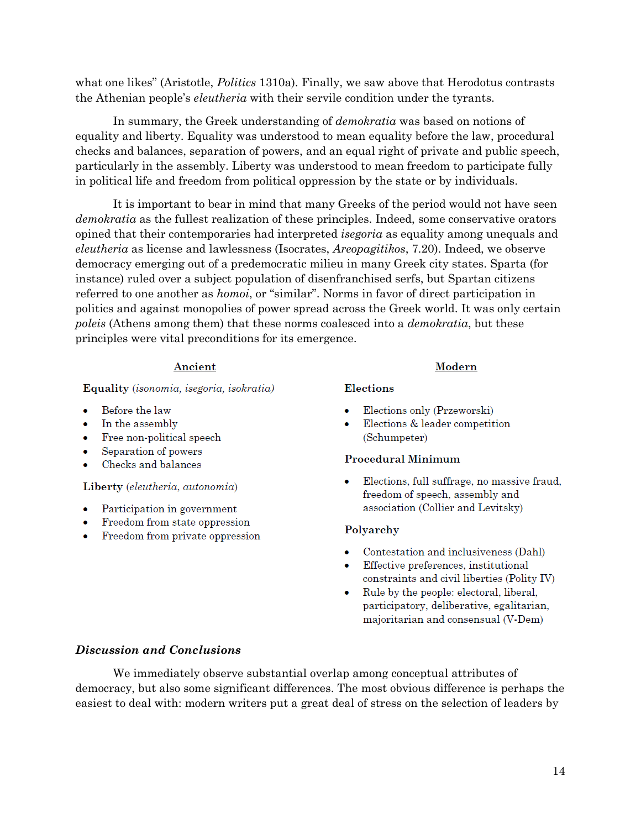what one likes" (Aristotle, *Politics* 1310a). Finally, we saw above that Herodotus contrasts the Athenian people's *eleutheria* with their servile condition under the tyrants.

In summary, the Greek understanding of *demokratia* was based on notions of equality and liberty. Equality was understood to mean equality before the law, procedural checks and balances, separation of powers, and an equal right of private and public speech, particularly in the assembly. Liberty was understood to mean freedom to participate fully in political life and freedom from political oppression by the state or by individuals.

It is important to bear in mind that many Greeks of the period would not have seen *demokratia* as the fullest realization of these principles. Indeed, some conservative orators opined that their contemporaries had interpreted *isegoria* as equality among unequals and *eleutheria* as license and lawlessness (Isocrates, *Areopagitikos*, 7.20). Indeed, we observe democracy emerging out of a predemocratic milieu in many Greek city states. Sparta (for instance) ruled over a subject population of disenfranchised serfs, but Spartan citizens referred to one another as *homoi*, or "similar". Norms in favor of direct participation in politics and against monopolies of power spread across the Greek world. It was only certain *poleis* (Athens among them) that these norms coalesced into a *demokratia*, but these principles were vital preconditions for its emergence.

## Ancient

Equality (isonomia, isegoria, isokratia)

- Before the law
- In the assembly
- Free non-political speech
- Separation of powers
- Checks and balances

#### Liberty (eleutheria, autonomia)

- Participation in government
- Freedom from state oppression
- Freedom from private oppression

## Modern

### Elections

- Elections only (Przeworski)
- Elections & leader competition (Schumpeter)

## **Procedural Minimum**

Elections, full suffrage, no massive fraud, ٠ freedom of speech, assembly and association (Collier and Levitsky)

## Polyarchy

- Contestation and inclusiveness (Dahl)
- Effective preferences, institutional constraints and civil liberties (Polity IV)
- $\bullet$ Rule by the people: electoral, liberal, participatory, deliberative, egalitarian, majoritarian and consensual (V-Dem)

## *Discussion and Conclusions*

We immediately observe substantial overlap among conceptual attributes of democracy, but also some significant differences. The most obvious difference is perhaps the easiest to deal with: modern writers put a great deal of stress on the selection of leaders by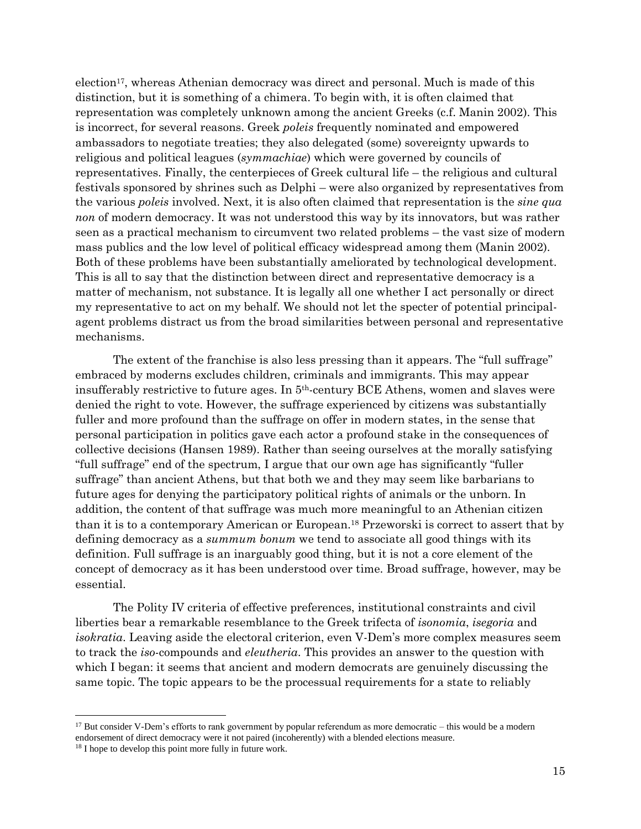election17, whereas Athenian democracy was direct and personal. Much is made of this distinction, but it is something of a chimera. To begin with, it is often claimed that representation was completely unknown among the ancient Greeks (c.f. Manin 2002). This is incorrect, for several reasons. Greek *poleis* frequently nominated and empowered ambassadors to negotiate treaties; they also delegated (some) sovereignty upwards to religious and political leagues (*symmachiae*) which were governed by councils of representatives. Finally, the centerpieces of Greek cultural life – the religious and cultural festivals sponsored by shrines such as Delphi – were also organized by representatives from the various *poleis* involved. Next, it is also often claimed that representation is the *sine qua non* of modern democracy. It was not understood this way by its innovators, but was rather seen as a practical mechanism to circumvent two related problems – the vast size of modern mass publics and the low level of political efficacy widespread among them (Manin 2002). Both of these problems have been substantially ameliorated by technological development. This is all to say that the distinction between direct and representative democracy is a matter of mechanism, not substance. It is legally all one whether I act personally or direct my representative to act on my behalf. We should not let the specter of potential principalagent problems distract us from the broad similarities between personal and representative mechanisms.

The extent of the franchise is also less pressing than it appears. The "full suffrage" embraced by moderns excludes children, criminals and immigrants. This may appear insufferably restrictive to future ages. In 5th-century BCE Athens, women and slaves were denied the right to vote. However, the suffrage experienced by citizens was substantially fuller and more profound than the suffrage on offer in modern states, in the sense that personal participation in politics gave each actor a profound stake in the consequences of collective decisions (Hansen 1989). Rather than seeing ourselves at the morally satisfying "full suffrage" end of the spectrum, I argue that our own age has significantly "fuller suffrage" than ancient Athens, but that both we and they may seem like barbarians to future ages for denying the participatory political rights of animals or the unborn. In addition, the content of that suffrage was much more meaningful to an Athenian citizen than it is to a contemporary American or European.<sup>18</sup> Przeworski is correct to assert that by defining democracy as a *summum bonum* we tend to associate all good things with its definition. Full suffrage is an inarguably good thing, but it is not a core element of the concept of democracy as it has been understood over time. Broad suffrage, however, may be essential.

The Polity IV criteria of effective preferences, institutional constraints and civil liberties bear a remarkable resemblance to the Greek trifecta of *isonomia*, *isegoria* and *isokratia*. Leaving aside the electoral criterion, even V-Dem's more complex measures seem to track the *iso-*compounds and *eleutheria*. This provides an answer to the question with which I began: it seems that ancient and modern democrats are genuinely discussing the same topic. The topic appears to be the processual requirements for a state to reliably

 $\overline{\phantom{a}}$ 

 $17$  But consider V-Dem's efforts to rank government by popular referendum as more democratic – this would be a modern endorsement of direct democracy were it not paired (incoherently) with a blended elections measure.

<sup>&</sup>lt;sup>18</sup> I hope to develop this point more fully in future work.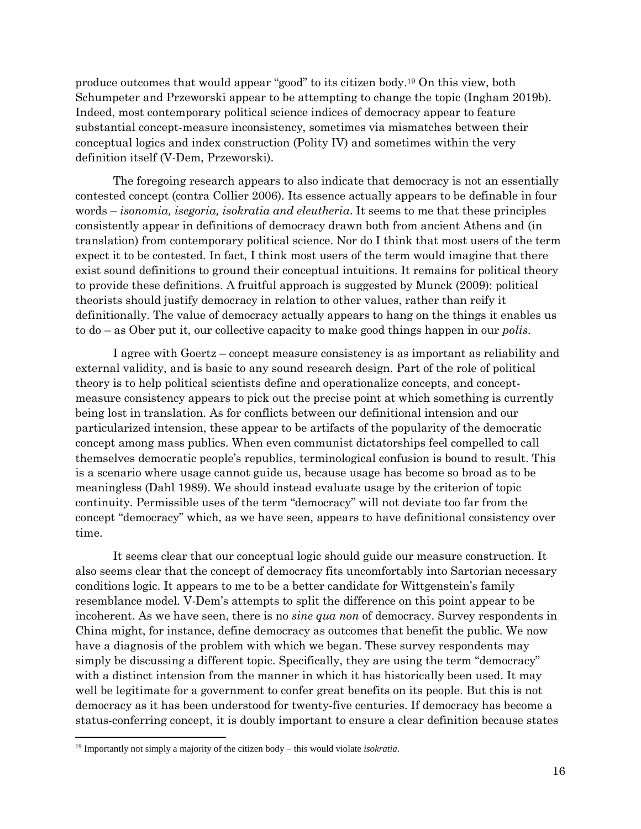produce outcomes that would appear "good" to its citizen body.<sup>19</sup> On this view, both Schumpeter and Przeworski appear to be attempting to change the topic (Ingham 2019b). Indeed, most contemporary political science indices of democracy appear to feature substantial concept-measure inconsistency, sometimes via mismatches between their conceptual logics and index construction (Polity IV) and sometimes within the very definition itself (V-Dem, Przeworski).

The foregoing research appears to also indicate that democracy is not an essentially contested concept (contra Collier 2006). Its essence actually appears to be definable in four words – *isonomia, isegoria, isokratia and eleutheria*. It seems to me that these principles consistently appear in definitions of democracy drawn both from ancient Athens and (in translation) from contemporary political science. Nor do I think that most users of the term expect it to be contested. In fact, I think most users of the term would imagine that there exist sound definitions to ground their conceptual intuitions. It remains for political theory to provide these definitions. A fruitful approach is suggested by Munck (2009): political theorists should justify democracy in relation to other values, rather than reify it definitionally. The value of democracy actually appears to hang on the things it enables us to do – as Ober put it, our collective capacity to make good things happen in our *polis*.

I agree with Goertz – concept measure consistency is as important as reliability and external validity, and is basic to any sound research design. Part of the role of political theory is to help political scientists define and operationalize concepts, and conceptmeasure consistency appears to pick out the precise point at which something is currently being lost in translation. As for conflicts between our definitional intension and our particularized intension, these appear to be artifacts of the popularity of the democratic concept among mass publics. When even communist dictatorships feel compelled to call themselves democratic people's republics, terminological confusion is bound to result. This is a scenario where usage cannot guide us, because usage has become so broad as to be meaningless (Dahl 1989). We should instead evaluate usage by the criterion of topic continuity. Permissible uses of the term "democracy" will not deviate too far from the concept "democracy" which, as we have seen, appears to have definitional consistency over time.

It seems clear that our conceptual logic should guide our measure construction. It also seems clear that the concept of democracy fits uncomfortably into Sartorian necessary conditions logic. It appears to me to be a better candidate for Wittgenstein's family resemblance model. V-Dem's attempts to split the difference on this point appear to be incoherent. As we have seen, there is no *sine qua non* of democracy. Survey respondents in China might, for instance, define democracy as outcomes that benefit the public. We now have a diagnosis of the problem with which we began. These survey respondents may simply be discussing a different topic. Specifically, they are using the term "democracy" with a distinct intension from the manner in which it has historically been used. It may well be legitimate for a government to confer great benefits on its people. But this is not democracy as it has been understood for twenty-five centuries. If democracy has become a status-conferring concept, it is doubly important to ensure a clear definition because states

<sup>19</sup> Importantly not simply a majority of the citizen body – this would violate *isokratia*.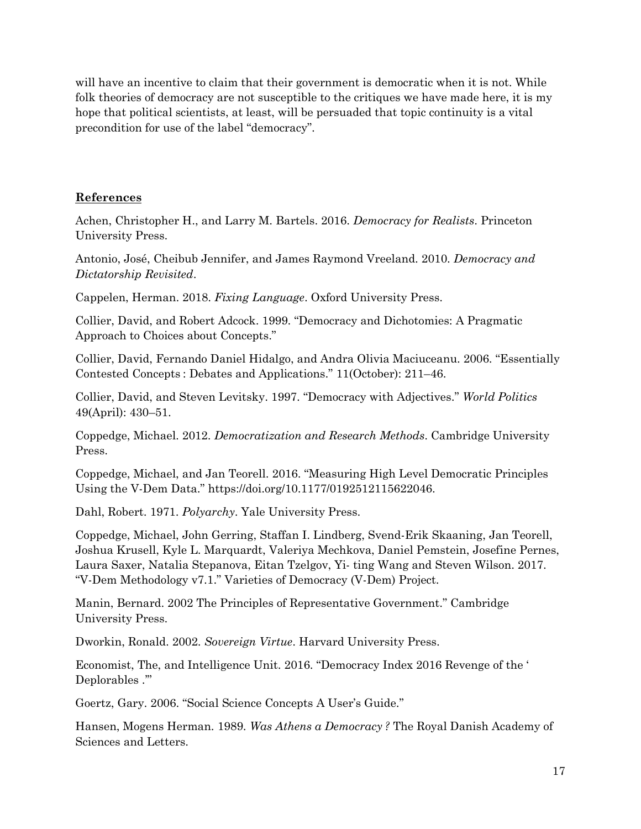will have an incentive to claim that their government is democratic when it is not. While folk theories of democracy are not susceptible to the critiques we have made here, it is my hope that political scientists, at least, will be persuaded that topic continuity is a vital precondition for use of the label "democracy".

## **References**

Achen, Christopher H., and Larry M. Bartels. 2016. *Democracy for Realists*. Princeton University Press.

Antonio, José, Cheibub Jennifer, and James Raymond Vreeland. 2010. *Democracy and Dictatorship Revisited*.

Cappelen, Herman. 2018. *Fixing Language*. Oxford University Press.

Collier, David, and Robert Adcock. 1999. "Democracy and Dichotomies: A Pragmatic Approach to Choices about Concepts."

Collier, David, Fernando Daniel Hidalgo, and Andra Olivia Maciuceanu. 2006. "Essentially Contested Concepts : Debates and Applications." 11(October): 211–46.

Collier, David, and Steven Levitsky. 1997. "Democracy with Adjectives." *World Politics* 49(April): 430–51.

Coppedge, Michael. 2012. *Democratization and Research Methods*. Cambridge University Press.

Coppedge, Michael, and Jan Teorell. 2016. "Measuring High Level Democratic Principles Using the V-Dem Data." https://doi.org/10.1177/0192512115622046.

Dahl, Robert. 1971. *Polyarchy*. Yale University Press.

Coppedge, Michael, John Gerring, Staffan I. Lindberg, Svend-Erik Skaaning, Jan Teorell, Joshua Krusell, Kyle L. Marquardt, Valeriya Mechkova, Daniel Pemstein, Josefine Pernes, Laura Saxer, Natalia Stepanova, Eitan Tzelgov, Yi- ting Wang and Steven Wilson. 2017. "V-Dem Methodology v7.1." Varieties of Democracy (V-Dem) Project.

Manin, Bernard. 2002 The Principles of Representative Government." Cambridge University Press.

Dworkin, Ronald. 2002. *Sovereign Virtue*. Harvard University Press.

Economist, The, and Intelligence Unit. 2016. "Democracy Index 2016 Revenge of the ' Deplorables .'"

Goertz, Gary. 2006. "Social Science Concepts A User's Guide."

Hansen, Mogens Herman. 1989. *Was Athens a Democracy ?* The Royal Danish Academy of Sciences and Letters.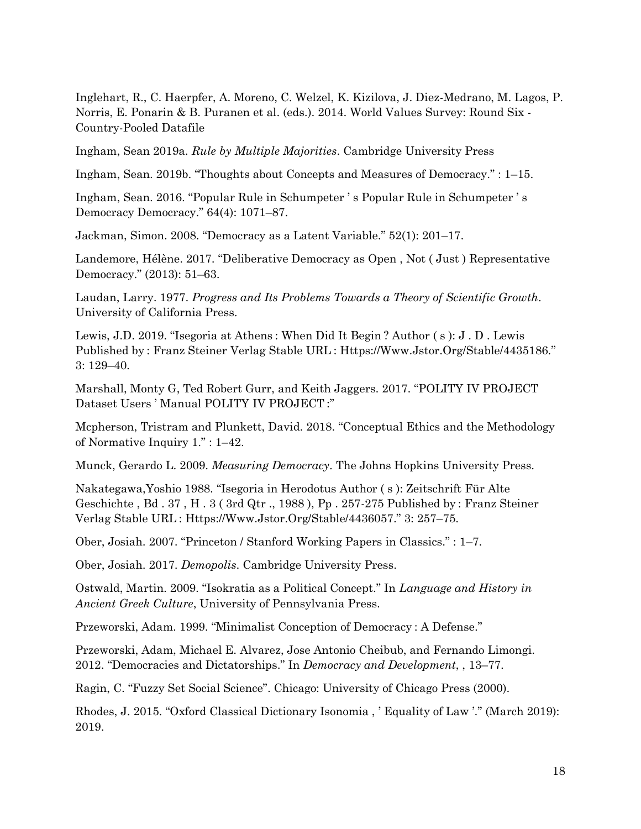Inglehart, R., C. Haerpfer, A. Moreno, C. Welzel, K. Kizilova, J. Diez-Medrano, M. Lagos, P. Norris, E. Ponarin & B. Puranen et al. (eds.). 2014. World Values Survey: Round Six - Country-Pooled Datafile

Ingham, Sean 2019a. *Rule by Multiple Majorities*. Cambridge University Press

Ingham, Sean. 2019b. "Thoughts about Concepts and Measures of Democracy." : 1–15.

Ingham, Sean. 2016. "Popular Rule in Schumpeter ' s Popular Rule in Schumpeter ' s Democracy Democracy." 64(4): 1071–87.

Jackman, Simon. 2008. "Democracy as a Latent Variable." 52(1): 201–17.

Landemore, Hélène. 2017. "Deliberative Democracy as Open , Not ( Just ) Representative Democracy." (2013): 51–63.

Laudan, Larry. 1977. *Progress and Its Problems Towards a Theory of Scientific Growth*. University of California Press.

Lewis, J.D. 2019. "Isegoria at Athens : When Did It Begin ? Author ( s ): J . D . Lewis Published by : Franz Steiner Verlag Stable URL : Https://Www.Jstor.Org/Stable/4435186." 3: 129–40.

Marshall, Monty G, Ted Robert Gurr, and Keith Jaggers. 2017. "POLITY IV PROJECT Dataset Users ' Manual POLITY IV PROJECT :"

Mcpherson, Tristram and Plunkett, David. 2018. "Conceptual Ethics and the Methodology of Normative Inquiry 1." : 1–42.

Munck, Gerardo L. 2009. *Measuring Democracy*. The Johns Hopkins University Press.

Nakategawa,Yoshio 1988. "Isegoria in Herodotus Author ( s ): Zeitschrift Für Alte Geschichte , Bd . 37 , H . 3 ( 3rd Qtr ., 1988 ), Pp . 257-275 Published by : Franz Steiner Verlag Stable URL : Https://Www.Jstor.Org/Stable/4436057." 3: 257–75.

Ober, Josiah. 2007. "Princeton / Stanford Working Papers in Classics." : 1–7.

Ober, Josiah. 2017. *Demopolis*. Cambridge University Press.

Ostwald, Martin. 2009. "Isokratia as a Political Concept." In *Language and History in Ancient Greek Culture*, University of Pennsylvania Press.

Przeworski, Adam. 1999. "Minimalist Conception of Democracy : A Defense."

Przeworski, Adam, Michael E. Alvarez, Jose Antonio Cheibub, and Fernando Limongi. 2012. "Democracies and Dictatorships." In *Democracy and Development*, , 13–77.

Ragin, C. "Fuzzy Set Social Science". Chicago: University of Chicago Press (2000).

Rhodes, J. 2015. "Oxford Classical Dictionary Isonomia , ' Equality of Law '." (March 2019): 2019.